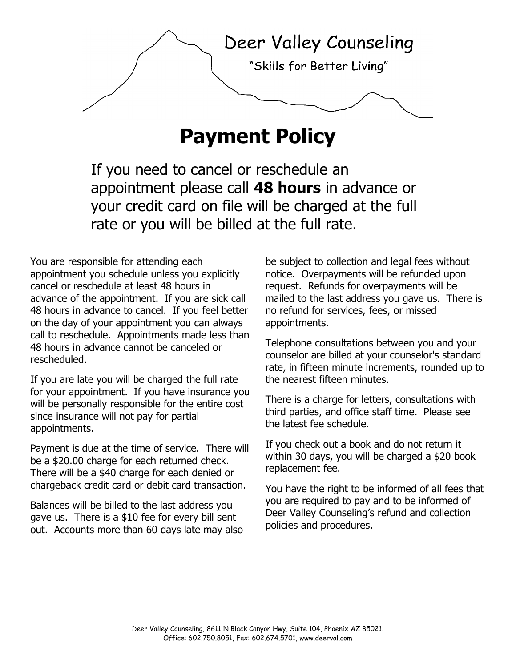

## **Payment Policy**

If you need to cancel or reschedule an appointment please call **48 hours** in advance or your credit card on file will be charged at the full rate or you will be billed at the full rate.

You are responsible for attending each appointment you schedule unless you explicitly cancel or reschedule at least 48 hours in advance of the appointment. If you are sick call 48 hours in advance to cancel. If you feel better on the day of your appointment you can always call to reschedule. Appointments made less than 48 hours in advance cannot be canceled or rescheduled.

If you are late you will be charged the full rate for your appointment. If you have insurance you will be personally responsible for the entire cost since insurance will not pay for partial appointments.

Payment is due at the time of service. There will be a \$20.00 charge for each returned check. There will be a \$40 charge for each denied or chargeback credit card or debit card transaction.

Balances will be billed to the last address you gave us. There is a \$10 fee for every bill sent out. Accounts more than 60 days late may also be subject to collection and legal fees without notice. Overpayments will be refunded upon request. Refunds for overpayments will be mailed to the last address you gave us. There is no refund for services, fees, or missed appointments.

Telephone consultations between you and your counselor are billed at your counselor's standard rate, in fifteen minute increments, rounded up to the nearest fifteen minutes.

There is a charge for letters, consultations with third parties, and office staff time. Please see the latest fee schedule.

If you check out a book and do not return it within 30 days, you will be charged a \$20 book replacement fee.

You have the right to be informed of all fees that you are required to pay and to be informed of Deer Valley Counseling's refund and collection policies and procedures.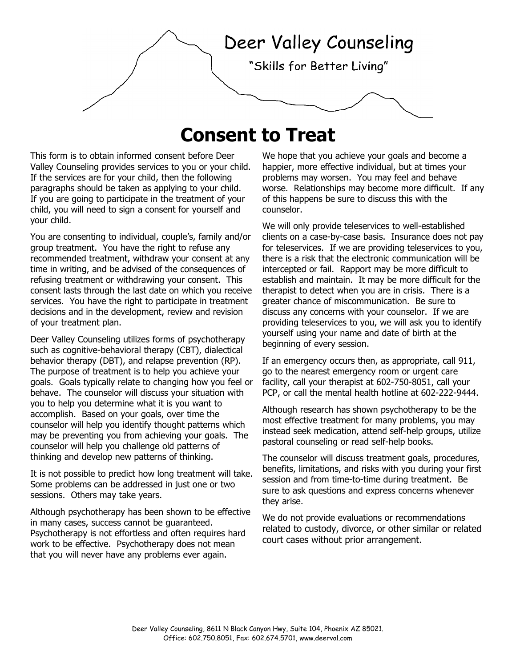# Deer Valley Counseling

"Skills for Better Living"

## **Consent to Treat**

This form is to obtain informed consent before Deer Valley Counseling provides services to you or your child. If the services are for your child, then the following paragraphs should be taken as applying to your child. If you are going to participate in the treatment of your child, you will need to sign a consent for yourself and your child.

You are consenting to individual, couple's, family and/or group treatment. You have the right to refuse any recommended treatment, withdraw your consent at any time in writing, and be advised of the consequences of refusing treatment or withdrawing your consent. This consent lasts through the last date on which you receive services. You have the right to participate in treatment decisions and in the development, review and revision of your treatment plan.

Deer Valley Counseling utilizes forms of psychotherapy such as cognitive-behavioral therapy (CBT), dialectical behavior therapy (DBT), and relapse prevention (RP). The purpose of treatment is to help you achieve your goals. Goals typically relate to changing how you feel or behave. The counselor will discuss your situation with you to help you determine what it is you want to accomplish. Based on your goals, over time the counselor will help you identify thought patterns which may be preventing you from achieving your goals. The counselor will help you challenge old patterns of thinking and develop new patterns of thinking.

It is not possible to predict how long treatment will take. Some problems can be addressed in just one or two sessions. Others may take years.

Although psychotherapy has been shown to be effective in many cases, success cannot be guaranteed. Psychotherapy is not effortless and often requires hard work to be effective. Psychotherapy does not mean that you will never have any problems ever again.

We hope that you achieve your goals and become a happier, more effective individual, but at times your problems may worsen. You may feel and behave worse. Relationships may become more difficult. If any of this happens be sure to discuss this with the counselor.

We will only provide teleservices to well-established clients on a case-by-case basis. Insurance does not pay for teleservices. If we are providing teleservices to you, there is a risk that the electronic communication will be intercepted or fail. Rapport may be more difficult to establish and maintain. It may be more difficult for the therapist to detect when you are in crisis. There is a greater chance of miscommunication. Be sure to discuss any concerns with your counselor. If we are providing teleservices to you, we will ask you to identify yourself using your name and date of birth at the beginning of every session.

If an emergency occurs then, as appropriate, call 911, go to the nearest emergency room or urgent care facility, call your therapist at 602-750-8051, call your PCP, or call the mental health hotline at 602-222-9444.

Although research has shown psychotherapy to be the most effective treatment for many problems, you may instead seek medication, attend self-help groups, utilize pastoral counseling or read self-help books.

The counselor will discuss treatment goals, procedures, benefits, limitations, and risks with you during your first session and from time-to-time during treatment. Be sure to ask questions and express concerns whenever they arise.

We do not provide evaluations or recommendations related to custody, divorce, or other similar or related court cases without prior arrangement.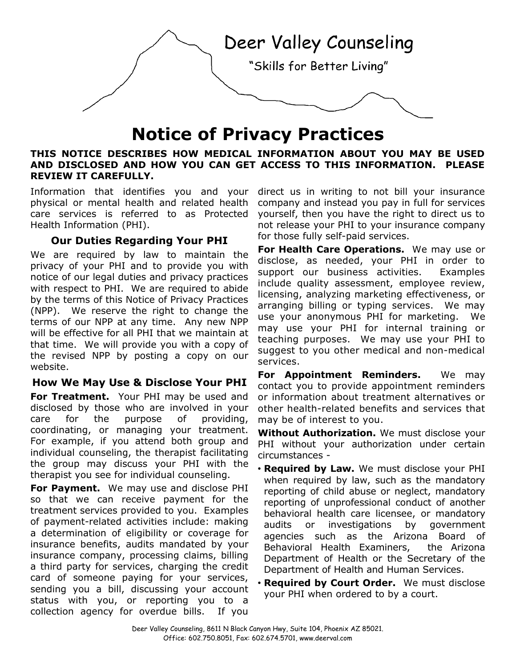

### **Notice of Privacy Practices**

#### **THIS NOTICE DESCRIBES HOW MEDICAL INFORMATION ABOUT YOU MAY BE USED AND DISCLOSED AND HOW YOU CAN GET ACCESS TO THIS INFORMATION. PLEASE REVIEW IT CAREFULLY.**

Information that identifies you and your physical or mental health and related health care services is referred to as Protected Health Information (PHI).

#### **Our Duties Regarding Your PHI**

We are required by law to maintain the privacy of your PHI and to provide you with notice of our legal duties and privacy practices with respect to PHI. We are required to abide by the terms of this Notice of Privacy Practices (NPP). We reserve the right to change the terms of our NPP at any time. Any new NPP will be effective for all PHI that we maintain at that time. We will provide you with a copy of the revised NPP by posting a copy on our website.

#### **How We May Use & Disclose Your PHI**

**For Treatment.** Your PHI may be used and disclosed by those who are involved in your care for the purpose of providing, coordinating, or managing your treatment. For example, if you attend both group and individual counseling, the therapist facilitating the group may discuss your PHI with the therapist you see for individual counseling.

**For Payment.** We may use and disclose PHI so that we can receive payment for the treatment services provided to you. Examples of payment-related activities include: making a determination of eligibility or coverage for insurance benefits, audits mandated by your insurance company, processing claims, billing a third party for services, charging the credit card of someone paying for your services, sending you a bill, discussing your account status with you, or reporting you to a collection agency for overdue bills. If you

direct us in writing to not bill your insurance company and instead you pay in full for services yourself, then you have the right to direct us to not release your PHI to your insurance company for those fully self-paid services.

**For Health Care Operations.** We may use or disclose, as needed, your PHI in order to support our business activities. Examples include quality assessment, employee review, licensing, analyzing marketing effectiveness, or arranging billing or typing services. We may use your anonymous PHI for marketing. We may use your PHI for internal training or teaching purposes. We may use your PHI to suggest to you other medical and non-medical services.

**For Appointment Reminders.** We may contact you to provide appointment reminders or information about treatment alternatives or other health-related benefits and services that may be of interest to you.

**Without Authorization.** We must disclose your PHI without your authorization under certain circumstances -

- **Required by Law.** We must disclose your PHI when required by law, such as the mandatory reporting of child abuse or neglect, mandatory reporting of unprofessional conduct of another behavioral health care licensee, or mandatory audits or investigations by government agencies such as the Arizona Board of Behavioral Health Examiners, the Arizona Department of Health or the Secretary of the Department of Health and Human Services.
- **Required by Court Order.** We must disclose your PHI when ordered to by a court.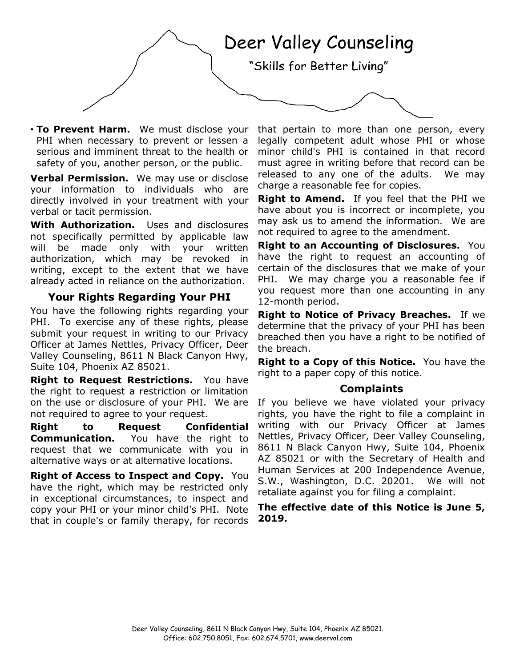

• **To Prevent Harm.** We must disclose your PHI when necessary to prevent or lessen a serious and imminent threat to the health or safety of you, another person, or the public.

**Verbal Permission.** We may use or disclose your information to individuals who are directly involved in your treatment with your verbal or tacit permission.

**With Authorization.** Uses and disclosures not specifically permitted by applicable law will be made only with your written authorization, which may be revoked in writing, except to the extent that we have already acted in reliance on the authorization.

#### **Your Rights Regarding Your PHI**

You have the following rights regarding your PHI. To exercise any of these rights, please submit your request in writing to our Privacy Officer at James Nettles, Privacy Officer, Deer Valley Counseling, 8611 N Black Canyon Hwy, Suite 104, Phoenix AZ 85021.

**Right to Request Restrictions.** You have the right to request a restriction or limitation on the use or disclosure of your PHI. We are not required to agree to your request.

**Right to Request Confidential Communication.** You have the right to request that we communicate with you in alternative ways or at alternative locations.

**Right of Access to Inspect and Copy.** You have the right, which may be restricted only in exceptional circumstances, to inspect and copy your PHI or your minor child's PHI. Note that in couple's or family therapy, for records

that pertain to more than one person, every legally competent adult whose PHI or whose minor child's PHI is contained in that record must agree in writing before that record can be released to any one of the adults. We may charge a reasonable fee for copies.

**Right to Amend.** If you feel that the PHI we have about you is incorrect or incomplete, you may ask us to amend the information. We are not required to agree to the amendment.

**Right to an Accounting of Disclosures.** You have the right to request an accounting of certain of the disclosures that we make of your PHI. We may charge you a reasonable fee if you request more than one accounting in any 12-month period.

**Right to Notice of Privacy Breaches.** If we determine that the privacy of your PHI has been breached then you have a right to be notified of the breach.

**Right to a Copy of this Notice.** You have the right to a paper copy of this notice.

#### **Complaints**

If you believe we have violated your privacy rights, you have the right to file a complaint in writing with our Privacy Officer at James Nettles, Privacy Officer, Deer Valley Counseling, 8611 N Black Canyon Hwy, Suite 104, Phoenix AZ 85021 or with the Secretary of Health and Human Services at 200 Independence Avenue, S.W., Washington, D.C. 20201. We will not retaliate against you for filing a complaint.

#### **The effective date of this Notice is June 5, 2019.**